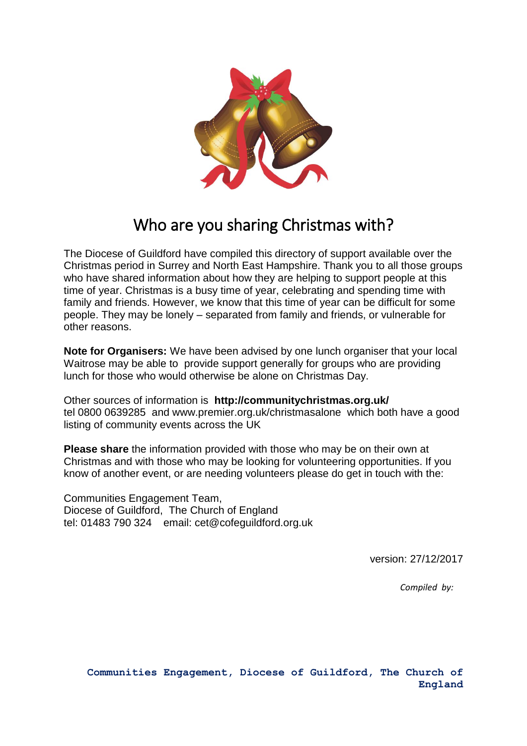

# Who are you sharing Christmas with?

The Diocese of Guildford have compiled this directory of support available over the Christmas period in Surrey and North East Hampshire. Thank you to all those groups who have shared information about how they are helping to support people at this time of year. Christmas is a busy time of year, celebrating and spending time with family and friends. However, we know that this time of year can be difficult for some people. They may be lonely – separated from family and friends, or vulnerable for other reasons.

**Note for Organisers:** We have been advised by one lunch organiser that your local Waitrose may be able to provide support generally for groups who are providing lunch for those who would otherwise be alone on Christmas Day.

Other sources of information is **http://communitychristmas.org.uk/**  tel 0800 0639285 and www.premier.org.uk/christmasalone which both have a good listing of community events across the UK

**Please share** the information provided with those who may be on their own at Christmas and with those who may be looking for volunteering opportunities. If you know of another event, or are needing volunteers please do get in touch with the:

Communities Engagement Team, Diocese of Guildford, The Church of England tel: 01483 790 324 email: cet@cofeguildford.org.uk

version: 27/12/2017

*Compiled by:*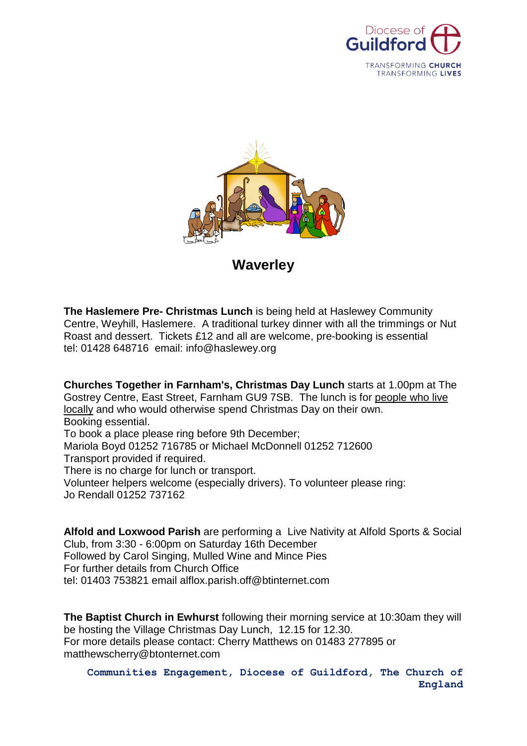



**Waverley**

**The Haslemere Pre- Christmas Lunch** is being held at Haslewey Community Centre, Weyhill, Haslemere. A traditional turkey dinner with all the trimmings or Nut Roast and dessert. Tickets £12 and all are welcome, pre-booking is essential tel: 01428 648716 email: info@haslewey.org

**Churches Together in Farnham's, Christmas Day Lunch** starts at 1.00pm at The Gostrey Centre, East Street, Farnham GU9 7SB. The lunch is for people who live locally and who would otherwise spend Christmas Day on their own. Booking essential. To book a place please ring before 9th December; Mariola Boyd 01252 716785 or Michael McDonnell 01252 712600 Transport provided if required.

There is no charge for lunch or transport.

Volunteer helpers welcome (especially drivers). To volunteer please ring: Jo Rendall 01252 737162

**Alfold and Loxwood Parish** are performing a Live Nativity at Alfold Sports & Social Club, from 3:30 - 6:00pm on Saturday 16th December Followed by Carol Singing, Mulled Wine and Mince Pies For further details from Church Office tel: 01403 753821 email alflox.parish.off@btinternet.com

**The Baptist Church in Ewhurst** following their morning service at 10:30am they will be hosting the Village Christmas Day Lunch, 12.15 for 12.30. For more details please contact: Cherry Matthews on 01483 277895 or matthewscherry@btonternet.com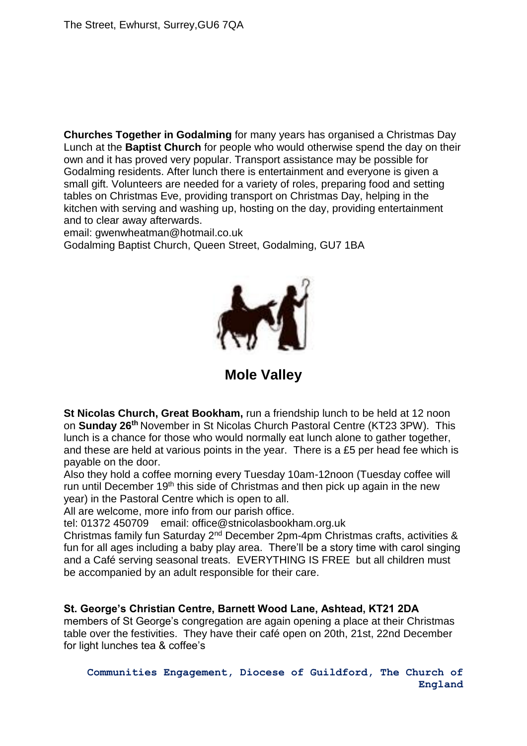**Churches Together in Godalming** for many years has organised a Christmas Day Lunch at the **Baptist Church** for people who would otherwise spend the day on their own and it has proved very popular. Transport assistance may be possible for Godalming residents. After lunch there is entertainment and everyone is given a small gift. Volunteers are needed for a variety of roles, preparing food and setting tables on Christmas Eve, providing transport on Christmas Day, helping in the kitchen with serving and washing up, hosting on the day, providing entertainment and to clear away afterwards.

email: gwenwheatman@hotmail.co.uk Godalming Baptist Church, Queen Street, Godalming, GU7 1BA



**Mole Valley**

**St Nicolas Church, Great Bookham,** run a friendship lunch to be held at 12 noon on **Sunday 26th** November in St Nicolas Church Pastoral Centre (KT23 3PW). This lunch is a chance for those who would normally eat lunch alone to gather together, and these are held at various points in the year. There is a £5 per head fee which is payable on the door.

Also they hold a coffee morning every Tuesday 10am-12noon (Tuesday coffee will run until December 19<sup>th</sup> this side of Christmas and then pick up again in the new year) in the Pastoral Centre which is open to all.

All are welcome, more info from our parish office.

tel: 01372 450709 email: office@stnicolasbookham.org.uk

Christmas family fun Saturday 2nd December 2pm-4pm Christmas crafts, activities & fun for all ages including a baby play area. There'll be a story time with carol singing and a Café serving seasonal treats. EVERYTHING IS FREE but all children must be accompanied by an adult responsible for their care.

## **St. George's Christian Centre, Barnett Wood Lane, Ashtead, KT21 2DA**

members of St George's congregation are again opening a place at their Christmas table over the festivities. They have their café open on 20th, 21st, 22nd December for light lunches tea & coffee's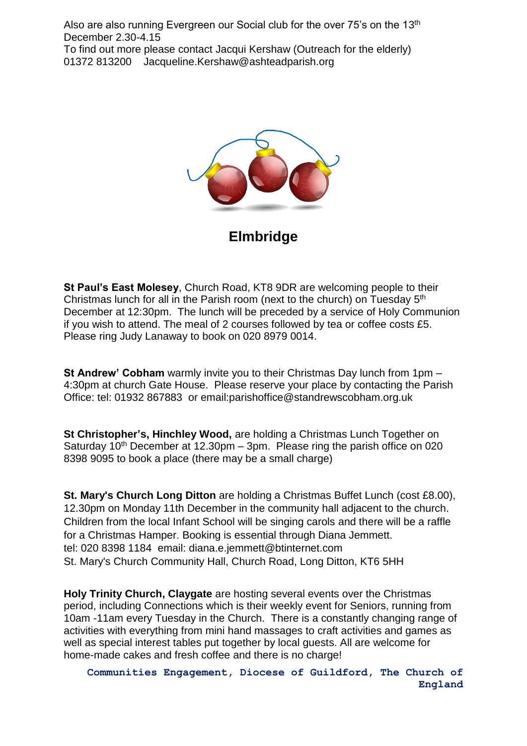Also are also running Evergreen our Social club for the over 75's on the 13<sup>th</sup> December 2.30-4.15

To find out more please contact Jacqui Kershaw (Outreach for the elderly) 01372 813200 Jacqueline.Kershaw@ashteadparish.org



**Elmbridge**

**St Paul's East Molesey**, Church Road, KT8 9DR are welcoming people to their Christmas lunch for all in the Parish room (next to the church) on Tuesday 5<sup>th</sup> December at 12:30pm. The lunch will be preceded by a service of Holy Communion if you wish to attend. The meal of 2 courses followed by tea or coffee costs £5. Please ring Judy Lanaway to book on 020 8979 0014.

**St Andrew' Cobham** warmly invite you to their Christmas Day lunch from 1pm – 4:30pm at church Gate House. Please reserve your place by contacting the Parish Office: tel: 01932 867883 or email:parishoffice@standrewscobham.org.uk

**St Christopher's, Hinchley Wood,** are holding a Christmas Lunch Together on Saturday  $10^{th}$  December at 12.30pm – 3pm. Please ring the parish office on 020 8398 9095 to book a place (there may be a small charge)

**St. Mary's Church Long Ditton** are holding a Christmas Buffet Lunch (cost £8.00), 12.30pm on Monday 11th December in the community hall adjacent to the church. Children from the local Infant School will be singing carols and there will be a raffle for a Christmas Hamper. Booking is essential through Diana Jemmett. tel: 020 8398 1184 email: diana.e.jemmett@btinternet.com St. Mary's Church Community Hall, Church Road, Long Ditton, KT6 5HH

**Holy Trinity Church, Claygate** are hosting several events over the Christmas period, including Connections which is their weekly event for Seniors, running from 10am -11am every Tuesday in the Church. There is a constantly changing range of activities with everything from mini hand massages to craft activities and games as well as special interest tables put together by local guests. All are welcome for home-made cakes and fresh coffee and there is no charge!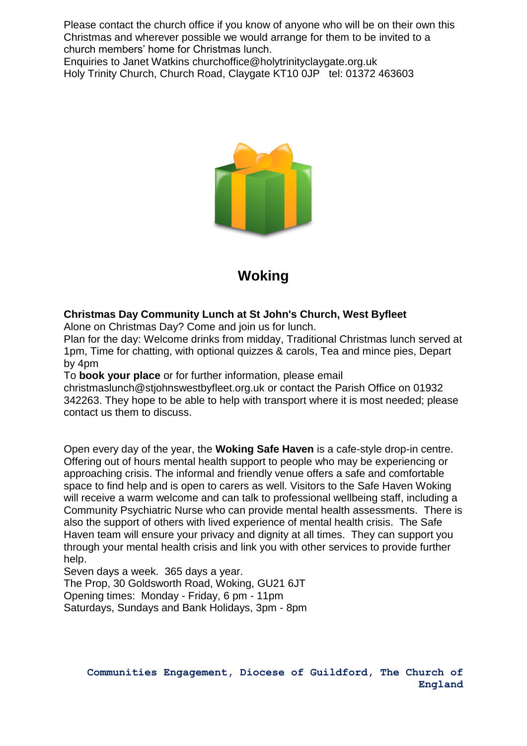Please contact the church office if you know of anyone who will be on their own this Christmas and wherever possible we would arrange for them to be invited to a church members' home for Christmas lunch.

Enquiries to Janet Watkins churchoffice@holytrinityclaygate.org.uk Holy Trinity Church, Church Road, Claygate KT10 0JP tel: 01372 463603



# **Woking**

## **Christmas Day Community Lunch at St John's Church, West Byfleet**

Alone on Christmas Day? Come and join us for lunch.

Plan for the day: Welcome drinks from midday, Traditional Christmas lunch served at 1pm, Time for chatting, with optional quizzes & carols, Tea and mince pies, Depart by 4pm

To **book your place** or for further information, please email

christmaslunch@stjohnswestbyfleet.org.uk or contact the Parish Office on 01932 342263. They hope to be able to help with transport where it is most needed; please contact us them to discuss.

Open every day of the year, the **Woking Safe Haven** is a cafe-style drop-in centre. Offering out of hours mental health support to people who may be experiencing or approaching crisis. The informal and friendly venue offers a safe and comfortable space to find help and is open to carers as well. Visitors to the Safe Haven Woking will receive a warm welcome and can talk to professional wellbeing staff, including a Community Psychiatric Nurse who can provide mental health assessments. There is also the support of others with lived experience of mental health crisis. The Safe Haven team will ensure your privacy and dignity at all times. They can support you through your mental health crisis and link you with other services to provide further help.

Seven days a week. 365 days a year. The Prop, 30 Goldsworth Road, Woking, GU21 6JT Opening times:Monday - Friday, 6 pm - 11pm Saturdays, Sundays and Bank Holidays, 3pm - 8pm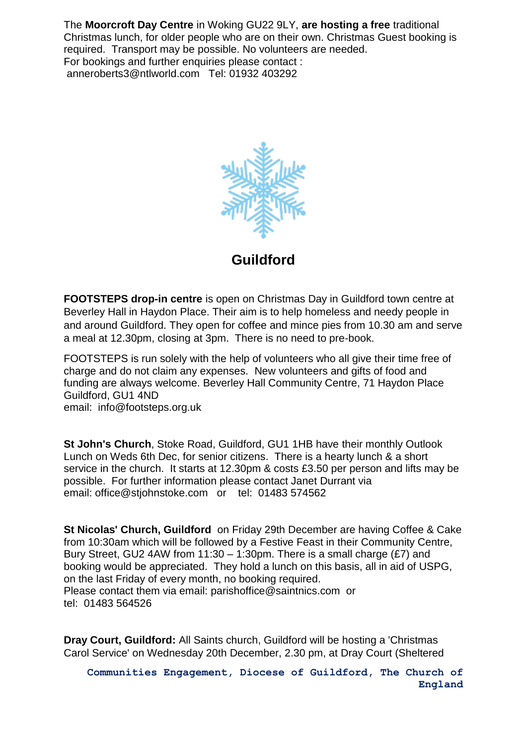The **Moorcroft Day Centre** in Woking GU22 9LY, **are hosting a free** traditional Christmas lunch, for older people who are on their own. Christmas Guest booking is required. Transport may be possible. No volunteers are needed. For bookings and further enquiries please contact: anneroberts3@ntlworld.com Tel: 01932 403292



**Guildford**

**FOOTSTEPS drop-in centre** is open on Christmas Day in Guildford town centre at Beverley Hall in Haydon Place. Their aim is to help homeless and needy people in and around Guildford. They open for coffee and mince pies from 10.30 am and serve a meal at 12.30pm, closing at 3pm. There is no need to pre-book.

FOOTSTEPS is run solely with the help of volunteers who all give their time free of charge and do not claim any expenses. New volunteers and gifts of food and funding are always welcome. Beverley Hall Community Centre, 71 Haydon Place Guildford, GU1 4ND email: info@footsteps.org.uk

**St John's Church**, Stoke Road, Guildford, GU1 1HB have their monthly Outlook Lunch on Weds 6th Dec, for senior citizens. There is a hearty lunch & a short service in the church. It starts at 12.30pm & costs £3.50 per person and lifts may be possible. For further information please contact Janet Durrant via email: office@stjohnstoke.com or tel: 01483 574562

**St Nicolas' Church, Guildford** on Friday 29th December are having Coffee & Cake from 10:30am which will be followed by a Festive Feast in their Community Centre, Bury Street, GU2 4AW from 11:30 – 1:30pm. There is a small charge (£7) and booking would be appreciated. They hold a lunch on this basis, all in aid of USPG, on the last Friday of every month, no booking required. Please contact them via email: parishoffice@saintnics.com or tel: 01483 564526

**Dray Court, Guildford:** All Saints church, Guildford will be hosting a 'Christmas Carol Service' on Wednesday 20th December, 2.30 pm, at Dray Court (Sheltered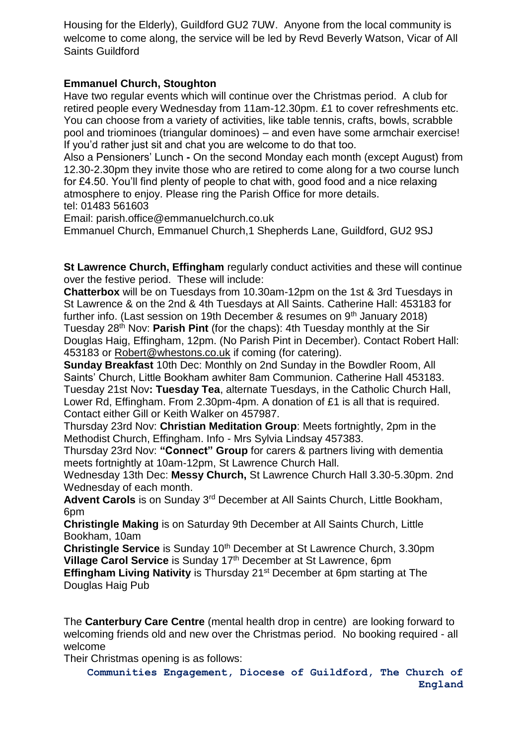Housing for the Elderly), Guildford GU2 7UW. Anyone from the local community is welcome to come along, the service will be led by Revd Beverly Watson, Vicar of All Saints Guildford

# **Emmanuel Church, Stoughton**

Have two regular events which will continue over the Christmas period. A club for retired people every Wednesday from 11am-12.30pm. £1 to cover refreshments etc. You can choose from a variety of activities, like table tennis, crafts, bowls, scrabble pool and triominoes (triangular dominoes) – and even have some armchair exercise! If you'd rather just sit and chat you are welcome to do that too.

Also a Pensioners' Lunch **-** On the second Monday each month (except August) from 12.30-2.30pm they invite those who are retired to come along for a two course lunch for £4.50. You'll find plenty of people to chat with, good food and a nice relaxing atmosphere to enjoy. Please ring the Parish Office for more details. tel: 01483 561603

Email: parish.office@emmanuelchurch.co.uk

Emmanuel Church, Emmanuel Church,1 Shepherds Lane, Guildford, GU2 9SJ

**St Lawrence Church, Effingham** regularly conduct activities and these will continue over the festive period. These will include:

**Chatterbox** will be on Tuesdays from 10.30am-12pm on the 1st & 3rd Tuesdays in St Lawrence & on the 2nd & 4th Tuesdays at All Saints. Catherine Hall: 453183 for further info. (Last session on 19th December & resumes on 9<sup>th</sup> January 2018) Tuesday 28th Nov: **Parish Pint** (for the chaps): 4th Tuesday monthly at the Sir Douglas Haig, Effingham, 12pm. (No Parish Pint in December). Contact Robert Hall: 453183 or [Robert@whestons.co.uk](mailto:Robert@whestons.co.uk) if coming (for catering).

**Sunday Breakfast** 10th Dec: Monthly on 2nd Sunday in the Bowdler Room, All Saints' Church, Little Bookham awhiter 8am Communion. Catherine Hall 453183. Tuesday 21st Nov**: Tuesday Tea**, alternate Tuesdays, in the Catholic Church Hall, Lower Rd, Effingham. From 2.30pm-4pm. A donation of £1 is all that is required. Contact either Gill or Keith Walker on 457987.

Thursday 23rd Nov: **Christian Meditation Group**: Meets fortnightly, 2pm in the Methodist Church, Effingham. Info - Mrs Sylvia Lindsay 457383.

Thursday 23rd Nov: **"Connect" Group** for carers & partners living with dementia meets fortnightly at 10am-12pm, St Lawrence Church Hall.

Wednesday 13th Dec: **Messy Church,** St Lawrence Church Hall 3.30-5.30pm. 2nd Wednesday of each month.

**Advent Carols** is on Sunday 3rd December at All Saints Church, Little Bookham, 6pm

**Christingle Making** is on Saturday 9th December at All Saints Church, Little Bookham, 10am

**Christingle Service** is Sunday 10<sup>th</sup> December at St Lawrence Church, 3.30pm **Village Carol Service** is Sunday 17th December at St Lawrence, 6pm

**Effingham Living Nativity** is Thursday 21<sup>st</sup> December at 6pm starting at The Douglas Haig Pub

The **Canterbury Care Centre** (mental health drop in centre) are looking forward to welcoming friends old and new over the Christmas period. No booking required - all welcome

Their Christmas opening is as follows:

**Communities Engagement, Diocese of Guildford, The Church of England**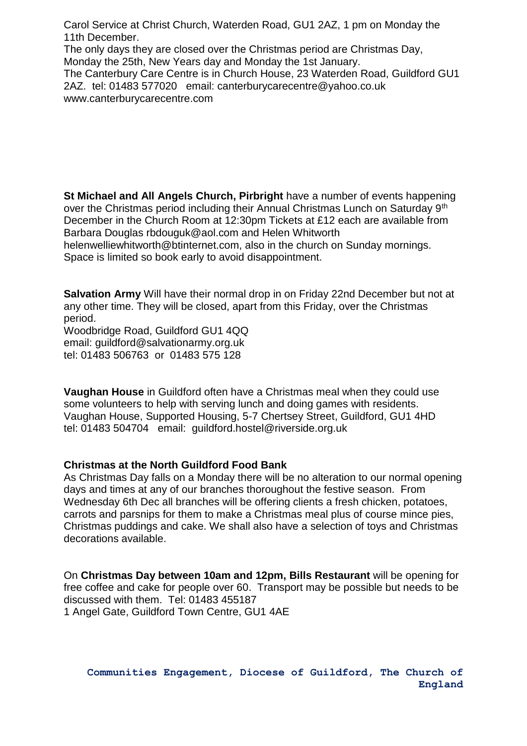Carol Service at Christ Church, Waterden Road, GU1 2AZ, 1 pm on Monday the 11th December.

The only days they are closed over the Christmas period are Christmas Day, Monday the 25th, New Years day and Monday the 1st January. The Canterbury Care Centre is in Church House, 23 Waterden Road, Guildford GU1 2AZ. tel: 01483 577020 email: canterburycarecentre@yahoo.co.uk www.canterburycarecentre.com

**St Michael and All Angels Church, Pirbright** have a number of events happening over the Christmas period including their Annual Christmas Lunch on Saturday 9<sup>th</sup> December in the Church Room at 12:30pm Tickets at £12 each are available from Barbara Douglas rbdouguk@aol.com and Helen Whitworth helenwelliewhitworth@btinternet.com, also in the church on Sunday mornings. Space is limited so book early to avoid disappointment.

**Salvation Army** Will have their normal drop in on Friday 22nd December but not at any other time. They will be closed, apart from this Friday, over the Christmas period.

Woodbridge Road, Guildford GU1 4QQ email: guildford@salvationarmy.org.uk tel: 01483 506763 or 01483 575 128

**Vaughan House** in Guildford often have a Christmas meal when they could use some volunteers to help with serving lunch and doing games with residents. Vaughan House, Supported Housing, 5-7 Chertsey Street, Guildford, GU1 4HD tel: 01483 504704 email: guildford.hostel@riverside.org.uk

## **Christmas at the North Guildford Food Bank**

As Christmas Day falls on a Monday there will be no alteration to our normal opening days and times at any of our branches thoroughout the festive season. From Wednesday 6th Dec all branches will be offering clients a fresh chicken, potatoes, carrots and parsnips for them to make a Christmas meal plus of course mince pies, Christmas puddings and cake. We shall also have a selection of toys and Christmas decorations available.

On **Christmas Day between 10am and 12pm, Bills Restaurant** will be opening for free coffee and cake for people over 60. Transport may be possible but needs to be discussed with them. Tel: 01483 455187 1 Angel Gate, Guildford Town Centre, GU1 4AE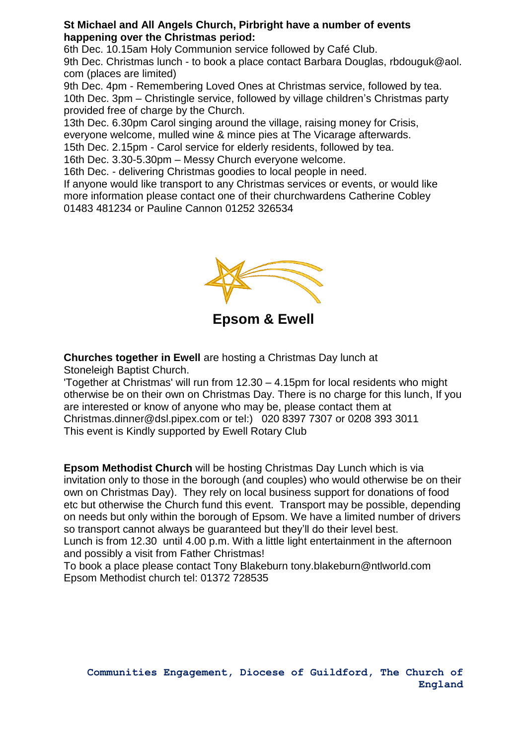## **St Michael and All Angels Church, Pirbright have a number of events happening over the Christmas period:**

6th Dec. 10.15am Holy Communion service followed by Café Club.

9th Dec. Christmas lunch - to book a place contact Barbara Douglas, rbdouguk@aol. com (places are limited)

9th Dec. 4pm - Remembering Loved Ones at Christmas service, followed by tea. 10th Dec. 3pm – Christingle service, followed by village children's Christmas party provided free of charge by the Church.

13th Dec. 6.30pm Carol singing around the village, raising money for Crisis, everyone welcome, mulled wine & mince pies at The Vicarage afterwards.

15th Dec. 2.15pm - Carol service for elderly residents, followed by tea.

16th Dec. 3.30-5.30pm – Messy Church everyone welcome.

16th Dec. - delivering Christmas goodies to local people in need.

If anyone would like transport to any Christmas services or events, or would like more information please contact one of their churchwardens Catherine Cobley 01483 481234 or Pauline Cannon 01252 326534

**Epsom & Ewell**

**Churches together in Ewell** are hosting a Christmas Day lunch at

Stoneleigh Baptist Church.

'Together at Christmas' will run from 12.30 – 4.15pm for local residents who might otherwise be on their own on Christmas Day. There is no charge for this lunch, If you are interested or know of anyone who may be, please contact them at Christmas.dinner@dsl.pipex.com or tel:) 020 8397 7307 or 0208 393 3011 This event is Kindly supported by Ewell Rotary Club

**Epsom Methodist Church** will be hosting Christmas Day Lunch which is via invitation only to those in the borough (and couples) who would otherwise be on their own on Christmas Day). They rely on local business support for donations of food etc but otherwise the Church fund this event. Transport may be possible, depending on needs but only within the borough of Epsom. We have a limited number of drivers so transport cannot always be guaranteed but they'll do their level best.

Lunch is from 12.30 until 4.00 p.m. With a little light entertainment in the afternoon and possibly a visit from Father Christmas!

To book a place please contact Tony Blakeburn tony.blakeburn@ntlworld.com Epsom Methodist church tel: 01372 728535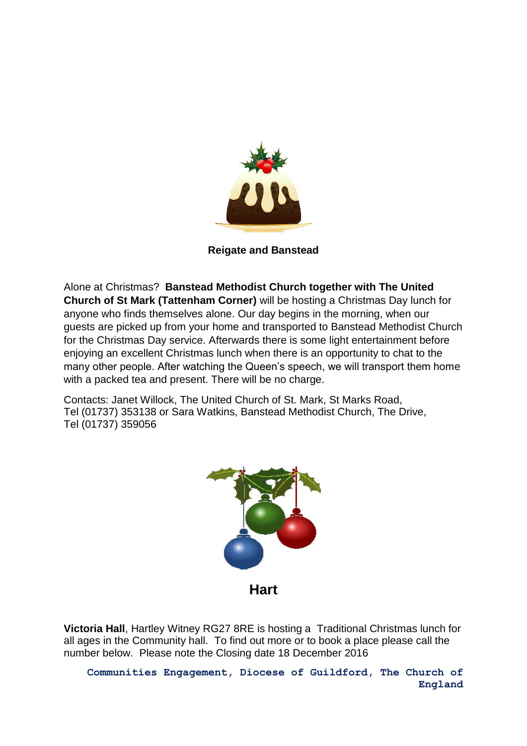

**Reigate and Banstead**

Alone at Christmas? **Banstead Methodist Church together with The United Church of St Mark (Tattenham Corner)** will be hosting a Christmas Day lunch for anyone who finds themselves alone. Our day begins in the morning, when our guests are picked up from your home and transported to Banstead Methodist Church for the Christmas Day service. Afterwards there is some light entertainment before enjoying an excellent Christmas lunch when there is an opportunity to chat to the many other people. After watching the Queen's speech, we will transport them home with a packed tea and present. There will be no charge.

Contacts: Janet Willock, The United Church of St. Mark, St Marks Road, Tel (01737) 353138 or Sara Watkins, Banstead Methodist Church, The Drive, Tel (01737) 359056



**Victoria Hall**, Hartley Witney RG27 8RE is hosting a Traditional Christmas lunch for all ages in the Community hall. To find out more or to book a place please call the number below. Please note the Closing date 18 December 2016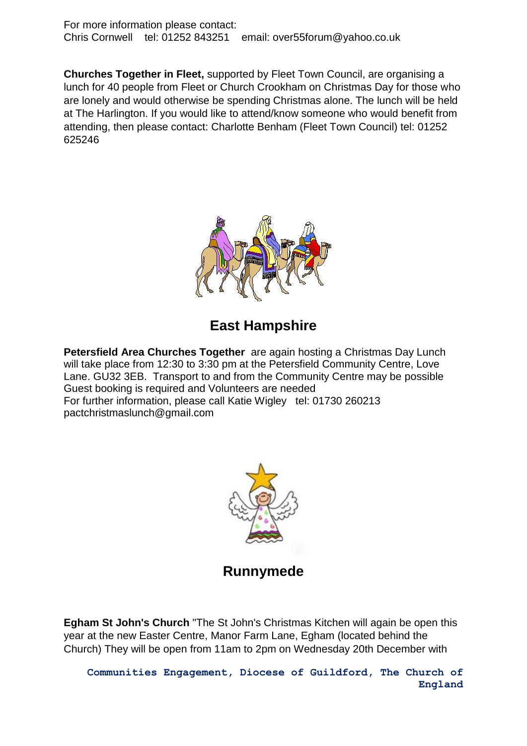For more information please contact: Chris Cornwell tel: 01252 843251 email: over55forum@yahoo.co.uk

**Churches Together in Fleet,** supported by Fleet Town Council, are organising a lunch for 40 people from Fleet or Church Crookham on Christmas Day for those who are lonely and would otherwise be spending Christmas alone. The lunch will be held at The Harlington. If you would like to attend/know someone who would benefit from attending, then please contact: Charlotte Benham (Fleet Town Council) tel: 01252 625246



# **East Hampshire**

**Petersfield Area Churches Together** are again hosting a Christmas Day Lunch will take place from 12:30 to 3:30 pm at the Petersfield Community Centre, Love Lane. GU32 3EB. Transport to and from the Community Centre may be possible Guest booking is required and Volunteers are needed For further information, please call Katie Wigley tel: 01730 260213 [pactchristmaslunch@gmail.com](mailto:pactchristmaslunch@gmail.com)



**Runnymede**

**Egham St John's Church** "The St John's Christmas Kitchen will again be open this year at the new Easter Centre, Manor Farm Lane, Egham (located behind the Church) They will be open from 11am to 2pm on Wednesday 20th December with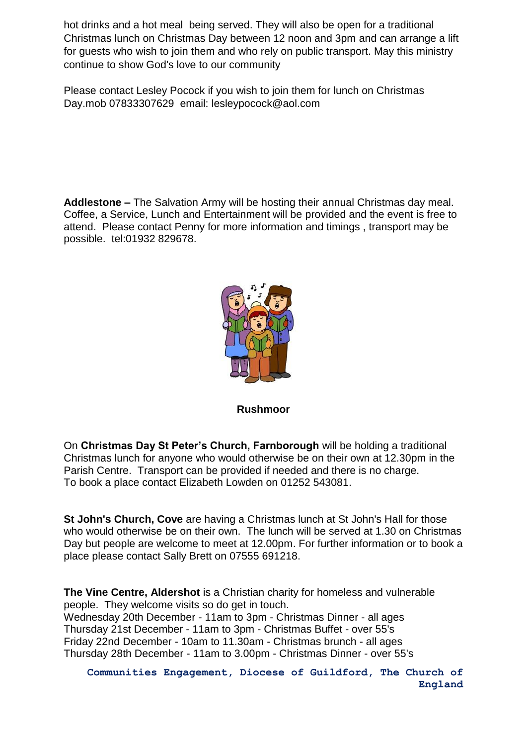hot drinks and a hot meal being served. They will also be open for a traditional Christmas lunch on Christmas Day between 12 noon and 3pm and can arrange a lift for guests who wish to join them and who rely on public transport. May this ministry continue to show God's love to our community

Please contact Lesley Pocock if you wish to join them for lunch on Christmas Day.mob 07833307629 email: lesleypocock@aol.com

**Addlestone –** The Salvation Army will be hosting their annual Christmas day meal. Coffee, a Service, Lunch and Entertainment will be provided and the event is free to attend. Please contact Penny for more information and timings , transport may be possible. tel:01932 829678.



**Rushmoor**

On **Christmas Day St Peter's Church, Farnborough** will be holding a traditional Christmas lunch for anyone who would otherwise be on their own at 12.30pm in the Parish Centre. Transport can be provided if needed and there is no charge. To book a place contact Elizabeth Lowden on 01252 543081.

**St John's Church, Cove** are having a Christmas lunch at St John's Hall for those who would otherwise be on their own. The lunch will be served at 1.30 on Christmas Day but people are welcome to meet at 12.00pm. For further information or to book a place please contact Sally Brett on 07555 691218.

**The Vine Centre, Aldershot** is a Christian charity for homeless and vulnerable people. They welcome visits so do get in touch. Wednesday 20th December - 11am to 3pm - Christmas Dinner - all ages Thursday 21st December - 11am to 3pm - Christmas Buffet - over 55's Friday 22nd December - 10am to 11.30am - Christmas brunch - all ages Thursday 28th December - 11am to 3.00pm - Christmas Dinner - over 55's